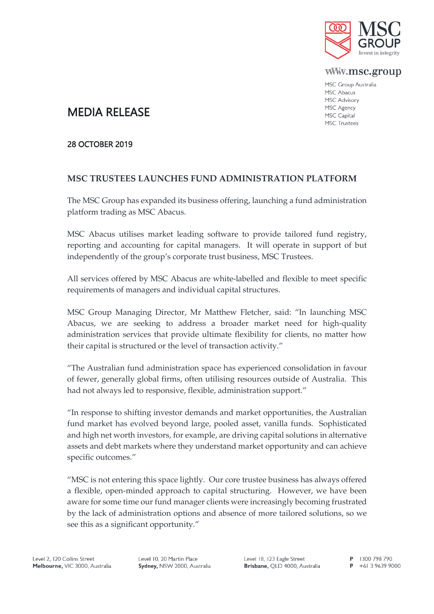

www.msc.group

MSC Group Australia MSC Abacus MSC Advisory MSC Agency MSC Capital **MSC Trustees** 

# MEDIA RELEASE

### 28 OCTOBER 2019

## **MSC TRUSTEES LAUNCHES FUND ADMINISTRATION PLATFORM**

The MSC Group has expanded its business offering, launching a fund administration platform trading as MSC Abacus.

MSC Abacus utilises market leading software to provide tailored fund registry, reporting and accounting for capital managers. It will operate in support of but independently of the group's corporate trust business, MSC Trustees.

All services offered by MSC Abacus are white-labelled and flexible to meet specific requirements of managers and individual capital structures.

MSC Group Managing Director, Mr Matthew Fletcher, said: "In launching MSC Abacus, we are seeking to address a broader market need for high-quality administration services that provide ultimate flexibility for clients, no matter how their capital is structured or the level of transaction activity."

"The Australian fund administration space has experienced consolidation in favour of fewer, generally global firms, often utilising resources outside of Australia. This had not always led to responsive, flexible, administration support."

"In response to shifting investor demands and market opportunities, the Australian fund market has evolved beyond large, pooled asset, vanilla funds. Sophisticated and high net worth investors, for example, are driving capital solutions in alternative assets and debt markets where they understand market opportunity and can achieve specific outcomes."

"MSC is not entering this space lightly. Our core trustee business has always offered a flexible, open-minded approach to capital structuring. However, we have been aware for some time our fund manager clients were increasingly becoming frustrated by the lack of administration options and absence of more tailored solutions, so we see this as a significant opportunity."

Level 10, 20 Martin Place Sydney, NSW 2000, Australia Level 18, 123 Eagle Street Brisbane, QLD 4000, Australia

P 1300 798 790  $P$  +61 3 9639 9000